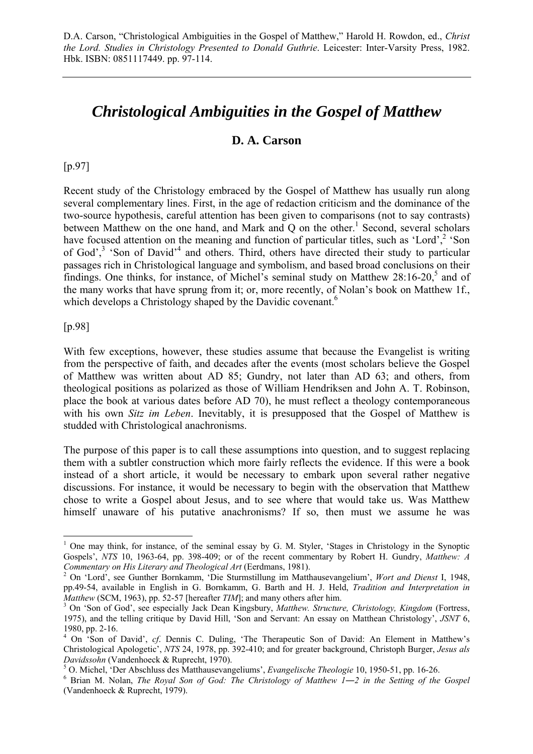# *Christological Ambiguities in the Gospel of Matthew*

# **D. A. Carson**

#### [p.97]

Recent study of the Christology embraced by the Gospel of Matthew has usually run along several complementary lines. First, in the age of redaction criticism and the dominance of the two-source hypothesis, careful attention has been given to comparisons (not to say contrasts) between Matthew on the one hand, and Mark and Q on the other.<sup>1</sup> Second, several scholars have focused attention on the meaning and function of particular titles, such as 'Lord',  $2$  'Son of God',<sup>3</sup> 'Son of David'<sup>4</sup> and others. Third, others have directed their study to particular passages rich in Christological language and symbolism, and based broad conclusions on their findings. One thinks, for instance, of Michel's seminal study on Matthew  $28:16-20$ , and of the many works that have sprung from it; or, more recently, of Nolan's book on Matthew 1f., which develops a Christology shaped by the Davidic covenant.<sup>6</sup>

#### [p.98]

 $\overline{a}$ 

With few exceptions, however, these studies assume that because the Evangelist is writing from the perspective of faith, and decades after the events (most scholars believe the Gospel of Matthew was written about AD 85; Gundry, not later than AD 63; and others, from theological positions as polarized as those of William Hendriksen and John A. T. Robinson, place the book at various dates before AD 70), he must reflect a theology contemporaneous with his own *Sitz im Leben*. Inevitably, it is presupposed that the Gospel of Matthew is studded with Christological anachronisms.

The purpose of this paper is to call these assumptions into question, and to suggest replacing them with a subtler construction which more fairly reflects the evidence. If this were a book instead of a short article, it would be necessary to embark upon several rather negative discussions. For instance, it would be necessary to begin with the observation that Matthew chose to write a Gospel about Jesus, and to see where that would take us. Was Matthew himself unaware of his putative anachronisms? If so, then must we assume he was

<sup>&</sup>lt;sup>1</sup> One may think, for instance, of the seminal essay by G. M. Styler, 'Stages in Christology in the Synoptic Gospels', *NTS* 10, 1963-64, pp. 398-409; or of the recent commentary by Robert H. Gundry, *Matthew: A Commentary on His Literary and Theological Art* (Eerdmans, 1981). <sup>2</sup> On 'Lord', see Gunther Bornkamm, 'Die Sturmstillung im Matthausevangelium', *Wort and Dienst* I, 1948,

pp.49-54, available in English in G. Bornkamm, G. Barth and H. J. Held, *Tradition and Interpretation in Matthew* (SCM, 1963), pp. 52-57 [hereafter *TIM*]; and many others after him.

<sup>&</sup>lt;sup>3</sup> On 'Son of God', see especially Jack Dean Kingsbury, *Matthew. Structure, Christology, Kingdom* (Fortress, 1975), and the telling critique by David Hill, 'Son and Servant: An essay on Matthean Christology', *JSNT* 6, 1980, pp. 2-16.

<sup>&</sup>lt;sup>4</sup> On 'Son of David', *cf*. Dennis C. Duling, 'The Therapeutic Son of David: An Element in Matthew's Christological Apologetic', *NTS* 24, 1978, pp. 392-410; and for greater background, Christoph Burger, *Jesus als Davidssohn* (Vandenhoeck & Ruprecht, 1970). <sup>5</sup>

O. Michel, 'Der Abschluss des Matthausevangeliums', *Evangelische Theologie* 10, 1950-51, pp. 16-26. <sup>6</sup>

Brian M. Nolan, *The Royal Son of God: The Christology of Matthew 1*―*2 in the Setting of the Gospel* (Vandenhoeck & Ruprecht, 1979).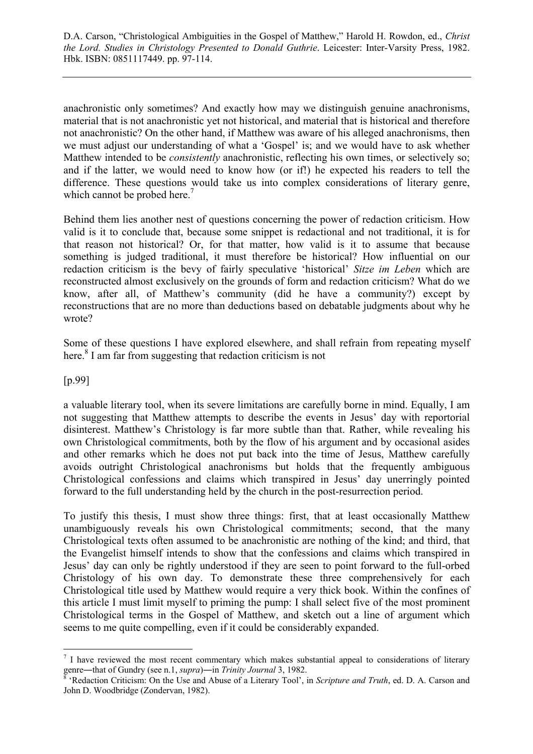anachronistic only sometimes? And exactly how may we distinguish genuine anachronisms, material that is not anachronistic yet not historical, and material that is historical and therefore not anachronistic? On the other hand, if Matthew was aware of his alleged anachronisms, then we must adjust our understanding of what a 'Gospel' is; and we would have to ask whether Matthew intended to be *consistently* anachronistic, reflecting his own times, or selectively so; and if the latter, we would need to know how (or if!) he expected his readers to tell the difference. These questions would take us into complex considerations of literary genre, which cannot be probed here.<sup>7</sup>

Behind them lies another nest of questions concerning the power of redaction criticism. How valid is it to conclude that, because some snippet is redactional and not traditional, it is for that reason not historical? Or, for that matter, how valid is it to assume that because something is judged traditional, it must therefore be historical? How influential on our redaction criticism is the bevy of fairly speculative 'historical' *Sitze im Leben* which are reconstructed almost exclusively on the grounds of form and redaction criticism? What do we know, after all, of Matthew's community (did he have a community?) except by reconstructions that are no more than deductions based on debatable judgments about why he wrote?

Some of these questions I have explored elsewhere, and shall refrain from repeating myself here.<sup>8</sup> I am far from suggesting that redaction criticism is not

[p.99]

 $\overline{a}$ 

a valuable literary tool, when its severe limitations are carefully borne in mind. Equally, I am not suggesting that Matthew attempts to describe the events in Jesus' day with reportorial disinterest. Matthew's Christology is far more subtle than that. Rather, while revealing his own Christological commitments, both by the flow of his argument and by occasional asides and other remarks which he does not put back into the time of Jesus, Matthew carefully avoids outright Christological anachronisms but holds that the frequently ambiguous Christological confessions and claims which transpired in Jesus' day unerringly pointed forward to the full understanding held by the church in the post-resurrection period.

To justify this thesis, I must show three things: first, that at least occasionally Matthew unambiguously reveals his own Christological commitments; second, that the many Christological texts often assumed to be anachronistic are nothing of the kind; and third, that the Evangelist himself intends to show that the confessions and claims which transpired in Jesus' day can only be rightly understood if they are seen to point forward to the full-orbed Christology of his own day. To demonstrate these three comprehensively for each Christological title used by Matthew would require a very thick book. Within the confines of this article I must limit myself to priming the pump: I shall select five of the most prominent Christological terms in the Gospel of Matthew, and sketch out a line of argument which seems to me quite compelling, even if it could be considerably expanded.

 $<sup>7</sup>$  I have reviewed the most recent commentary which makes substantial appeal to considerations of literary</sup> genre―that of Gundry (see n.1, *supra*)―in *Trinity Journal* 3, 1982. <sup>8</sup>

<sup>&</sup>lt;sup>8</sup> 'Redaction Criticism: On the Use and Abuse of a Literary Tool', in *Scripture and Truth*, ed. D. A. Carson and John D. Woodbridge (Zondervan, 1982).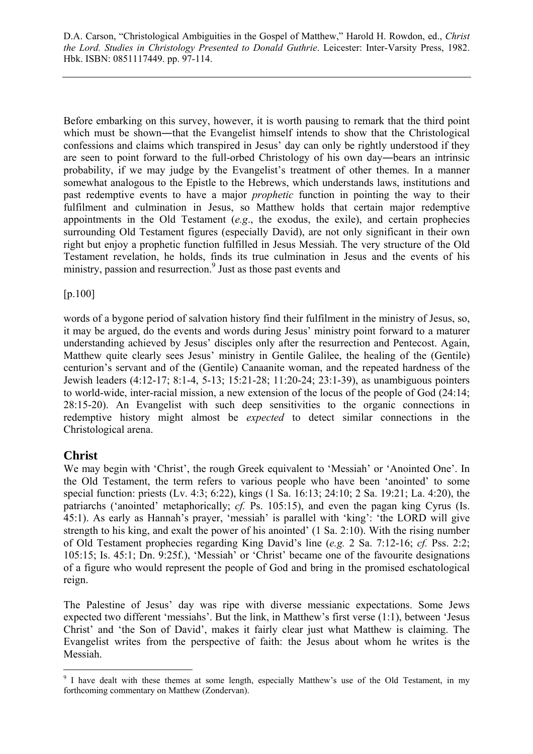Before embarking on this survey, however, it is worth pausing to remark that the third point which must be shown—that the Evangelist himself intends to show that the Christological confessions and claims which transpired in Jesus' day can only be rightly understood if they are seen to point forward to the full-orbed Christology of his own day―bears an intrinsic probability, if we may judge by the Evangelist's treatment of other themes. In a manner somewhat analogous to the Epistle to the Hebrews, which understands laws, institutions and past redemptive events to have a major *prophetic* function in pointing the way to their fulfilment and culmination in Jesus, so Matthew holds that certain major redemptive appointments in the Old Testament (*e.g*., the exodus, the exile), and certain prophecies surrounding Old Testament figures (especially David), are not only significant in their own right but enjoy a prophetic function fulfilled in Jesus Messiah. The very structure of the Old Testament revelation, he holds, finds its true culmination in Jesus and the events of his ministry, passion and resurrection.<sup>9</sup> Just as those past events and

#### [p.100]

words of a bygone period of salvation history find their fulfilment in the ministry of Jesus, so, it may be argued, do the events and words during Jesus' ministry point forward to a maturer understanding achieved by Jesus' disciples only after the resurrection and Pentecost. Again, Matthew quite clearly sees Jesus' ministry in Gentile Galilee, the healing of the (Gentile) centurion's servant and of the (Gentile) Canaanite woman, and the repeated hardness of the Jewish leaders (4:12-17; 8:1-4, 5-13; 15:21-28; 11:20-24; 23:1-39), as unambiguous pointers to world-wide, inter-racial mission, a new extension of the locus of the people of God (24:14; 28:15-20). An Evangelist with such deep sensitivities to the organic connections in redemptive history might almost be *expected* to detect similar connections in the Christological arena.

# **Christ**

 $\overline{a}$ 

We may begin with 'Christ', the rough Greek equivalent to 'Messiah' or 'Anointed One'. In the Old Testament, the term refers to various people who have been 'anointed' to some special function: priests (Lv. 4:3; 6:22), kings (1 Sa. 16:13; 24:10; 2 Sa. 19:21; La. 4:20), the patriarchs ('anointed' metaphorically; *cf.* Ps. 105:15), and even the pagan king Cyrus (Is. 45:1). As early as Hannah's prayer, 'messiah' is parallel with 'king': 'the LORD will give strength to his king, and exalt the power of his anointed' (1 Sa. 2:10). With the rising number of Old Testament prophecies regarding King David's line (*e.g.* 2 Sa. 7:12-16; *cf.* Pss. 2:2; 105:15; Is. 45:1; Dn. 9:25f.), 'Messiah' or 'Christ' became one of the favourite designations of a figure who would represent the people of God and bring in the promised eschatological reign.

The Palestine of Jesus' day was ripe with diverse messianic expectations. Some Jews expected two different 'messiahs'. But the link, in Matthew's first verse (1:1), between 'Jesus Christ' and 'the Son of David', makes it fairly clear just what Matthew is claiming. The Evangelist writes from the perspective of faith: the Jesus about whom he writes is the Messiah.

<sup>&</sup>lt;sup>9</sup> I have dealt with these themes at some length, especially Matthew's use of the Old Testament, in my forthcoming commentary on Matthew (Zondervan).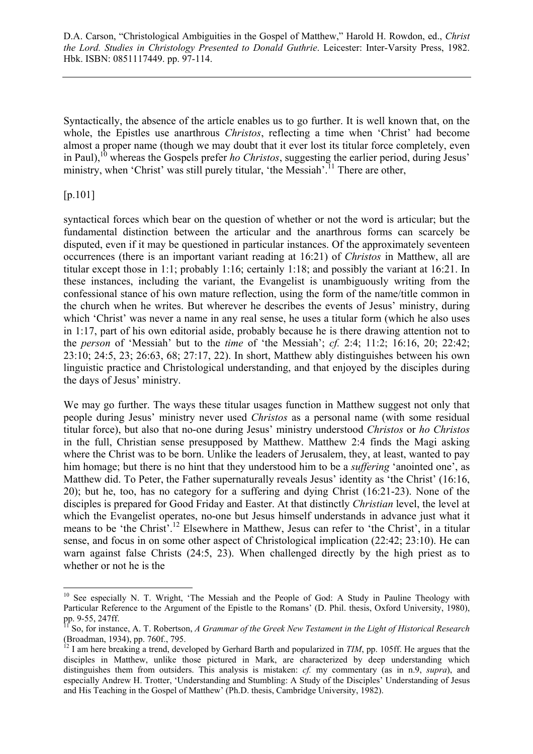Syntactically, the absence of the article enables us to go further. It is well known that, on the whole, the Epistles use anarthrous *Christos*, reflecting a time when 'Christ' had become almost a proper name (though we may doubt that it ever lost its titular force completely, even in Paul),<sup>10</sup> whereas the Gospels prefer *ho Christos*, suggesting the earlier period, during Jesus' ministry, when 'Christ' was still purely titular, 'the Messiah'.<sup>11</sup> There are other,

#### [p.101]

 $\overline{a}$ 

syntactical forces which bear on the question of whether or not the word is articular; but the fundamental distinction between the articular and the anarthrous forms can scarcely be disputed, even if it may be questioned in particular instances. Of the approximately seventeen occurrences (there is an important variant reading at 16:21) of *Christos* in Matthew, all are titular except those in 1:1; probably 1:16; certainly 1:18; and possibly the variant at 16:21. In these instances, including the variant, the Evangelist is unambiguously writing from the confessional stance of his own mature reflection, using the form of the name/title common in the church when he writes. But wherever he describes the events of Jesus' ministry, during which 'Christ' was never a name in any real sense, he uses a titular form (which he also uses in 1:17, part of his own editorial aside, probably because he is there drawing attention not to the *person* of 'Messiah' but to the *time* of 'the Messiah'; *cf.* 2:4; 11:2; 16:16, 20; 22:42; 23:10; 24:5, 23; 26:63, 68; 27:17, 22). In short, Matthew ably distinguishes between his own linguistic practice and Christological understanding, and that enjoyed by the disciples during the days of Jesus' ministry.

We may go further. The ways these titular usages function in Matthew suggest not only that people during Jesus' ministry never used *Christos* as a personal name (with some residual titular force), but also that no-one during Jesus' ministry understood *Christos* or *ho Christos* in the full, Christian sense presupposed by Matthew. Matthew 2:4 finds the Magi asking where the Christ was to be born. Unlike the leaders of Jerusalem, they, at least, wanted to pay him homage; but there is no hint that they understood him to be a *suffering* 'anointed one', as Matthew did. To Peter, the Father supernaturally reveals Jesus' identity as 'the Christ' (16:16, 20); but he, too, has no category for a suffering and dying Christ (16:21-23). None of the disciples is prepared for Good Friday and Easter. At that distinctly *Christian* level, the level at which the Evangelist operates, no-one but Jesus himself understands in advance just what it means to be 'the Christ'.12 Elsewhere in Matthew, Jesus can refer to 'the Christ', in a titular sense, and focus in on some other aspect of Christological implication (22:42; 23:10). He can warn against false Christs (24:5, 23). When challenged directly by the high priest as to whether or not he is the

<sup>&</sup>lt;sup>10</sup> See especially N. T. Wright, 'The Messiah and the People of God: A Study in Pauline Theology with Particular Reference to the Argument of the Epistle to the Romans' (D. Phil. thesis, Oxford University, 1980), pp. 9-55, 247ff.

<sup>&</sup>lt;sup>11</sup> So, for instance, A. T. Robertson, *A Grammar of the Greek New Testament in the Light of Historical Research* (Broadman, 1934), pp. 760f., 795.

<sup>&</sup>lt;sup>12</sup> I am here breaking a trend, developed by Gerhard Barth and popularized in *TIM*, pp. 105ff. He argues that the disciples in Matthew, unlike those pictured in Mark, are characterized by deep understanding which distinguishes them from outsiders. This analysis is mistaken: *cf.* my commentary (as in n.9, *supra*), and especially Andrew H. Trotter, 'Understanding and Stumbling: A Study of the Disciples' Understanding of Jesus and His Teaching in the Gospel of Matthew' (Ph.D. thesis, Cambridge University, 1982).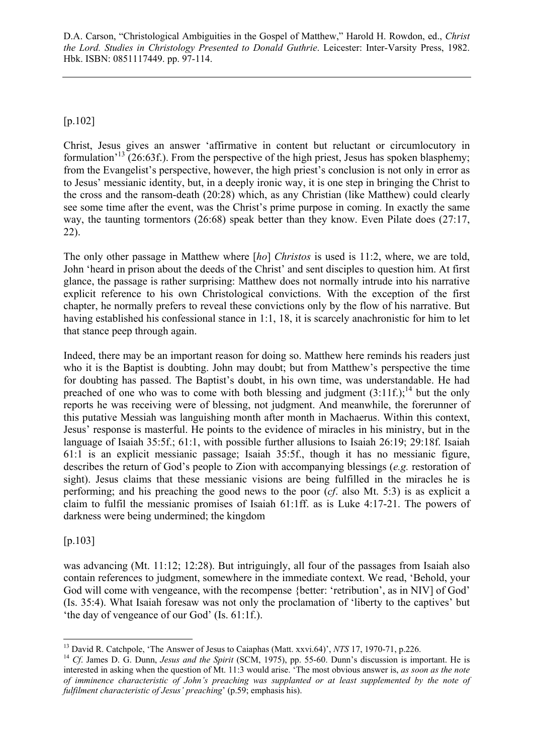[p.102]

Christ, Jesus gives an answer 'affirmative in content but reluctant or circumlocutory in formulation<sup>'13</sup> (26:63f.). From the perspective of the high priest, Jesus has spoken blasphemy; from the Evangelist's perspective, however, the high priest's conclusion is not only in error as to Jesus' messianic identity, but, in a deeply ironic way, it is one step in bringing the Christ to the cross and the ransom-death (20:28) which, as any Christian (like Matthew) could clearly see some time after the event, was the Christ's prime purpose in coming. In exactly the same way, the taunting tormentors (26:68) speak better than they know. Even Pilate does (27:17, 22).

The only other passage in Matthew where [*ho*] *Christos* is used is 11:2, where, we are told, John 'heard in prison about the deeds of the Christ' and sent disciples to question him. At first glance, the passage is rather surprising: Matthew does not normally intrude into his narrative explicit reference to his own Christological convictions. With the exception of the first chapter, he normally prefers to reveal these convictions only by the flow of his narrative. But having established his confessional stance in 1:1, 18, it is scarcely anachronistic for him to let that stance peep through again.

Indeed, there may be an important reason for doing so. Matthew here reminds his readers just who it is the Baptist is doubting. John may doubt; but from Matthew's perspective the time for doubting has passed. The Baptist's doubt, in his own time, was understandable. He had preached of one who was to come with both blessing and judgment  $(3:11f)$ ;<sup>14</sup> but the only reports he was receiving were of blessing, not judgment. And meanwhile, the forerunner of this putative Messiah was languishing month after month in Machaerus. Within this context, Jesus' response is masterful. He points to the evidence of miracles in his ministry, but in the language of Isaiah 35:5f.; 61:1, with possible further allusions to Isaiah 26:19; 29:18f. Isaiah 61:1 is an explicit messianic passage; Isaiah 35:5f., though it has no messianic figure, describes the return of God's people to Zion with accompanying blessings (*e.g.* restoration of sight). Jesus claims that these messianic visions are being fulfilled in the miracles he is performing; and his preaching the good news to the poor (*cf*. also Mt. 5:3) is as explicit a claim to fulfil the messianic promises of Isaiah 61:1ff. as is Luke 4:17-21. The powers of darkness were being undermined; the kingdom

[p.103]

was advancing (Mt. 11:12; 12:28). But intriguingly, all four of the passages from Isaiah also contain references to judgment, somewhere in the immediate context. We read, 'Behold, your God will come with vengeance, with the recompense {better: 'retribution', as in NIV] of God' (Is. 35:4). What Isaiah foresaw was not only the proclamation of 'liberty to the captives' but 'the day of vengeance of our God' (Is. 61:1f.).

<sup>&</sup>lt;sup>13</sup> David R. Catchpole, 'The Answer of Jesus to Caiaphas (Matt. xxvi.64)', NTS 17, 1970-71, p.226.

<sup>&</sup>lt;sup>14</sup> Cf. James D. G. Dunn, Jesus and the Spirit (SCM, 1975), pp. 55-60. Dunn's discussion is important. He is interested in asking when the question of Mt. 11:3 would arise. 'The most obvious answer is, *as soon as the note of imminence characteristic of John's preaching was supplanted or at least supplemented by the note of fulfilment characteristic of Jesus' preaching*' (p.59; emphasis his).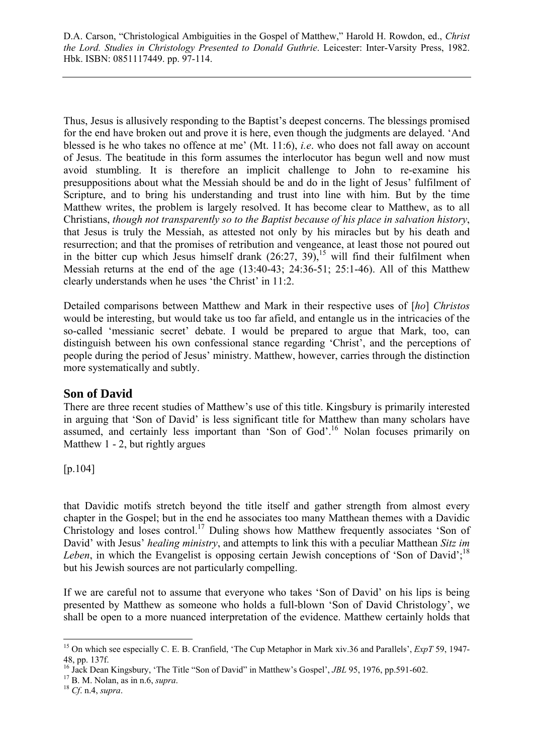Thus, Jesus is allusively responding to the Baptist's deepest concerns. The blessings promised for the end have broken out and prove it is here, even though the judgments are delayed. 'And blessed is he who takes no offence at me' (Mt. 11:6), *i.e*. who does not fall away on account of Jesus. The beatitude in this form assumes the interlocutor has begun well and now must avoid stumbling. It is therefore an implicit challenge to John to re-examine his presuppositions about what the Messiah should be and do in the light of Jesus' fulfilment of Scripture, and to bring his understanding and trust into line with him. But by the time Matthew writes, the problem is largely resolved. It has become clear to Matthew, as to all Christians, *though not transparently so to the Baptist because of his place in salvation history*, that Jesus is truly the Messiah, as attested not only by his miracles but by his death and resurrection; and that the promises of retribution and vengeance, at least those not poured out in the bitter cup which Jesus himself drank  $(26.27, 39)$ ,<sup>15</sup> will find their fulfilment when Messiah returns at the end of the age (13:40-43; 24:36-51; 25:1-46). All of this Matthew clearly understands when he uses 'the Christ' in 11:2.

Detailed comparisons between Matthew and Mark in their respective uses of [*ho*] *Christos* would be interesting, but would take us too far afield, and entangle us in the intricacies of the so-called 'messianic secret' debate. I would be prepared to argue that Mark, too, can distinguish between his own confessional stance regarding 'Christ', and the perceptions of people during the period of Jesus' ministry. Matthew, however, carries through the distinction more systematically and subtly.

#### **Son of David**

There are three recent studies of Matthew's use of this title. Kingsbury is primarily interested in arguing that 'Son of David' is less significant title for Matthew than many scholars have assumed, and certainly less important than 'Son of God'.<sup>16</sup> Nolan focuses primarily on Matthew 1 - 2, but rightly argues

[p.104]

that Davidic motifs stretch beyond the title itself and gather strength from almost every chapter in the Gospel; but in the end he associates too many Matthean themes with a Davidic Christology and loses control.17 Duling shows how Matthew frequently associates 'Son of David' with Jesus' *healing ministry*, and attempts to link this with a peculiar Matthean *Sitz im Leben*, in which the Evangelist is opposing certain Jewish conceptions of 'Son of David':<sup>18</sup> but his Jewish sources are not particularly compelling.

If we are careful not to assume that everyone who takes 'Son of David' on his lips is being presented by Matthew as someone who holds a full-blown 'Son of David Christology', we shall be open to a more nuanced interpretation of the evidence. Matthew certainly holds that

 $\overline{a}$ 

<sup>&</sup>lt;sup>15</sup> On which see especially C. E. B. Cranfield, 'The Cup Metaphor in Mark xiv.36 and Parallels', *ExpT* 59, 1947-48, pp. 137f.

<sup>16</sup> Jack Dean Kingsbury, 'The Title "Son of David" in Matthew's Gospel', *JBL* 95, 1976, pp.591-602. 17 B. M. Nolan, as in n.6, *supra*. <sup>18</sup> *Cf*. n.4, *supra*.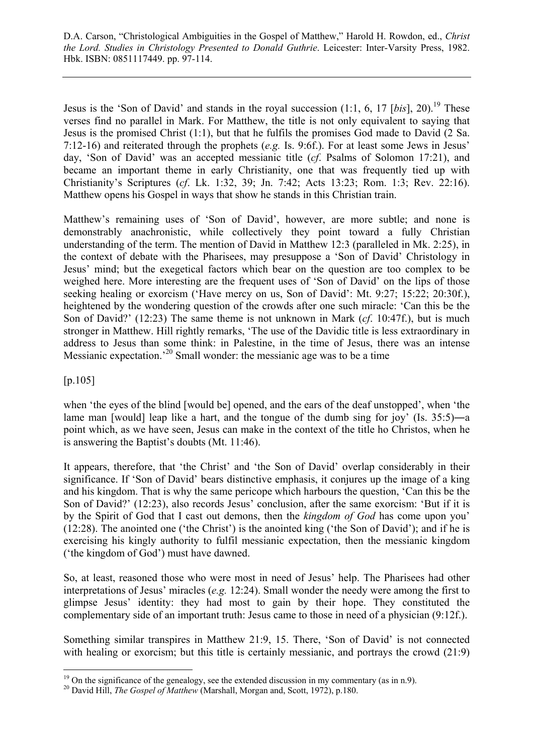Jesus is the 'Son of David' and stands in the royal succession  $(1:1, 6, 17$  [*bis*], 20).<sup>19</sup> These verses find no parallel in Mark. For Matthew, the title is not only equivalent to saying that Jesus is the promised Christ (1:1), but that he fulfils the promises God made to David (2 Sa. 7:12-16) and reiterated through the prophets (*e.g.* Is. 9:6f.). For at least some Jews in Jesus' day, 'Son of David' was an accepted messianic title (*cf*. Psalms of Solomon 17:21), and became an important theme in early Christianity, one that was frequently tied up with Christianity's Scriptures (*cf*. Lk. 1:32, 39; Jn. 7:42; Acts 13:23; Rom. 1:3; Rev. 22:16). Matthew opens his Gospel in ways that show he stands in this Christian train.

Matthew's remaining uses of 'Son of David', however, are more subtle; and none is demonstrably anachronistic, while collectively they point toward a fully Christian understanding of the term. The mention of David in Matthew 12:3 (paralleled in Mk. 2:25), in the context of debate with the Pharisees, may presuppose a 'Son of David' Christology in Jesus' mind; but the exegetical factors which bear on the question are too complex to be weighed here. More interesting are the frequent uses of 'Son of David' on the lips of those seeking healing or exorcism ('Have mercy on us, Son of David': Mt. 9:27; 15:22; 20:30f.), heightened by the wondering question of the crowds after one such miracle: 'Can this be the Son of David?' (12:23) The same theme is not unknown in Mark (*cf*. 10:47f.), but is much stronger in Matthew. Hill rightly remarks, 'The use of the Davidic title is less extraordinary in address to Jesus than some think: in Palestine, in the time of Jesus, there was an intense Messianic expectation.'20 Small wonder: the messianic age was to be a time

[p.105]

 $\overline{a}$ 

when 'the eyes of the blind [would be] opened, and the ears of the deaf unstopped', when 'the lame man [would] leap like a hart, and the tongue of the dumb sing for joy' (Is.  $35:5$ )—a point which, as we have seen, Jesus can make in the context of the title ho Christos, when he is answering the Baptist's doubts (Mt. 11:46).

It appears, therefore, that 'the Christ' and 'the Son of David' overlap considerably in their significance. If 'Son of David' bears distinctive emphasis, it conjures up the image of a king and his kingdom. That is why the same pericope which harbours the question, 'Can this be the Son of David?' (12:23), also records Jesus' conclusion, after the same exorcism: 'But if it is by the Spirit of God that I cast out demons, then the *kingdom of God* has come upon you' (12:28). The anointed one ('the Christ') is the anointed king ('the Son of David'); and if he is exercising his kingly authority to fulfil messianic expectation, then the messianic kingdom ('the kingdom of God') must have dawned.

So, at least, reasoned those who were most in need of Jesus' help. The Pharisees had other interpretations of Jesus' miracles (*e.g.* 12:24). Small wonder the needy were among the first to glimpse Jesus' identity: they had most to gain by their hope. They constituted the complementary side of an important truth: Jesus came to those in need of a physician (9:12f.).

Something similar transpires in Matthew 21:9, 15. There, 'Son of David' is not connected with healing or exorcism; but this title is certainly messianic, and portrays the crowd (21:9)

<sup>&</sup>lt;sup>19</sup> On the significance of the genealogy, see the extended discussion in my commentary (as in n.9).<br><sup>20</sup> David Hill, *The Gospel of Matthew* (Marshall, Morgan and, Scott, 1972), p.180.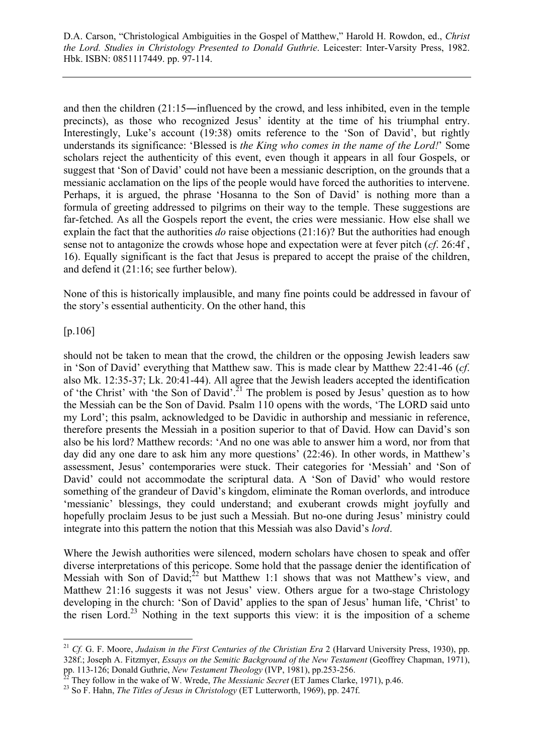and then the children (21:15―influenced by the crowd, and less inhibited, even in the temple precincts), as those who recognized Jesus' identity at the time of his triumphal entry. Interestingly, Luke's account (19:38) omits reference to the 'Son of David', but rightly understands its significance: 'Blessed is *the King who comes in the name of the Lord!*' Some scholars reject the authenticity of this event, even though it appears in all four Gospels, or suggest that 'Son of David' could not have been a messianic description, on the grounds that a messianic acclamation on the lips of the people would have forced the authorities to intervene. Perhaps, it is argued, the phrase 'Hosanna to the Son of David' is nothing more than a formula of greeting addressed to pilgrims on their way to the temple. These suggestions are far-fetched. As all the Gospels report the event, the cries were messianic. How else shall we explain the fact that the authorities *do* raise objections (21:16)? But the authorities had enough sense not to antagonize the crowds whose hope and expectation were at fever pitch (*cf*. 26:4f , 16). Equally significant is the fact that Jesus is prepared to accept the praise of the children, and defend it (21:16; see further below).

None of this is historically implausible, and many fine points could be addressed in favour of the story's essential authenticity. On the other hand, this

#### [p.106]

 $\overline{a}$ 

should not be taken to mean that the crowd, the children or the opposing Jewish leaders saw in 'Son of David' everything that Matthew saw. This is made clear by Matthew 22:41-46 (*cf*. also Mk. 12:35-37; Lk. 20:41-44). All agree that the Jewish leaders accepted the identification of 'the Christ' with 'the Son of David'.<sup>21</sup> The problem is posed by Jesus' question as to how the Messiah can be the Son of David. Psalm 110 opens with the words, 'The LORD said unto my Lord'; this psalm, acknowledged to be Davidic in authorship and messianic in reference, therefore presents the Messiah in a position superior to that of David. How can David's son also be his lord? Matthew records: 'And no one was able to answer him a word, nor from that day did any one dare to ask him any more questions' (22:46). In other words, in Matthew's assessment, Jesus' contemporaries were stuck. Their categories for 'Messiah' and 'Son of David' could not accommodate the scriptural data. A 'Son of David' who would restore something of the grandeur of David's kingdom, eliminate the Roman overlords, and introduce 'messianic' blessings, they could understand; and exuberant crowds might joyfully and hopefully proclaim Jesus to be just such a Messiah. But no-one during Jesus' ministry could integrate into this pattern the notion that this Messiah was also David's *lord*.

Where the Jewish authorities were silenced, modern scholars have chosen to speak and offer diverse interpretations of this pericope. Some hold that the passage denier the identification of Messiah with Son of David; $^{22}$  but Matthew 1:1 shows that was not Matthew's view, and Matthew 21:16 suggests it was not Jesus' view. Others argue for a two-stage Christology developing in the church: 'Son of David' applies to the span of Jesus' human life, 'Christ' to the risen Lord.<sup>23</sup> Nothing in the text supports this view: it is the imposition of a scheme

<sup>21</sup> *Cf.* G. F. Moore, *Judaism in the First Centuries of the Christian Era* 2 (Harvard University Press, 1930), pp. 328f.; Joseph A. Fitzmyer, *Essays on the Semitic Background of the New Testament* (Geoffrey Chapman, 1971), pp. 113-126; Donald Guthrie, *New Testament Theology* (IVP, 1981), pp.253-256.<br><sup>22</sup> They follow in the wake of W. Wrede, *The Messianic Secret* (ET James Clarke, 1971), p.46.<br><sup>23</sup> So F. Hahn, *The Titles of Jesus in Christ*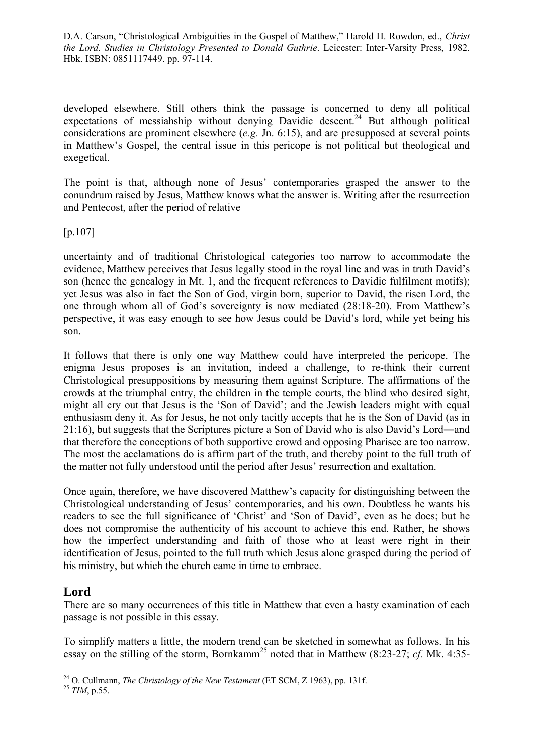developed elsewhere. Still others think the passage is concerned to deny all political expectations of messiahship without denying Davidic descent.<sup>24</sup> But although political considerations are prominent elsewhere (*e.g.* Jn. 6:15), and are presupposed at several points in Matthew's Gospel, the central issue in this pericope is not political but theological and exegetical.

The point is that, although none of Jesus' contemporaries grasped the answer to the conundrum raised by Jesus, Matthew knows what the answer is. Writing after the resurrection and Pentecost, after the period of relative

[p.107]

uncertainty and of traditional Christological categories too narrow to accommodate the evidence, Matthew perceives that Jesus legally stood in the royal line and was in truth David's son (hence the genealogy in Mt. 1, and the frequent references to Davidic fulfilment motifs); yet Jesus was also in fact the Son of God, virgin born, superior to David, the risen Lord, the one through whom all of God's sovereignty is now mediated (28:18-20). From Matthew's perspective, it was easy enough to see how Jesus could be David's lord, while yet being his son.

It follows that there is only one way Matthew could have interpreted the pericope. The enigma Jesus proposes is an invitation, indeed a challenge, to re-think their current Christological presuppositions by measuring them against Scripture. The affirmations of the crowds at the triumphal entry, the children in the temple courts, the blind who desired sight, might all cry out that Jesus is the 'Son of David'; and the Jewish leaders might with equal enthusiasm deny it. As for Jesus, he not only tacitly accepts that he is the Son of David (as in 21:16), but suggests that the Scriptures picture a Son of David who is also David's Lord―and that therefore the conceptions of both supportive crowd and opposing Pharisee are too narrow. The most the acclamations do is affirm part of the truth, and thereby point to the full truth of the matter not fully understood until the period after Jesus' resurrection and exaltation.

Once again, therefore, we have discovered Matthew's capacity for distinguishing between the Christological understanding of Jesus' contemporaries, and his own. Doubtless he wants his readers to see the full significance of 'Christ' and 'Son of David', even as he does; but he does not compromise the authenticity of his account to achieve this end. Rather, he shows how the imperfect understanding and faith of those who at least were right in their identification of Jesus, pointed to the full truth which Jesus alone grasped during the period of his ministry, but which the church came in time to embrace.

# **Lord**

There are so many occurrences of this title in Matthew that even a hasty examination of each passage is not possible in this essay.

To simplify matters a little, the modern trend can be sketched in somewhat as follows. In his essay on the stilling of the storm, Bornkamm<sup>25</sup> noted that in Matthew (8:23-27; *cf.* Mk. 4:35-

 $\overline{a}$ 24 O. Cullmann, *The Christology of the New Testament* (ET SCM, Z 1963), pp. 131f. <sup>25</sup> *TIM*, p.55.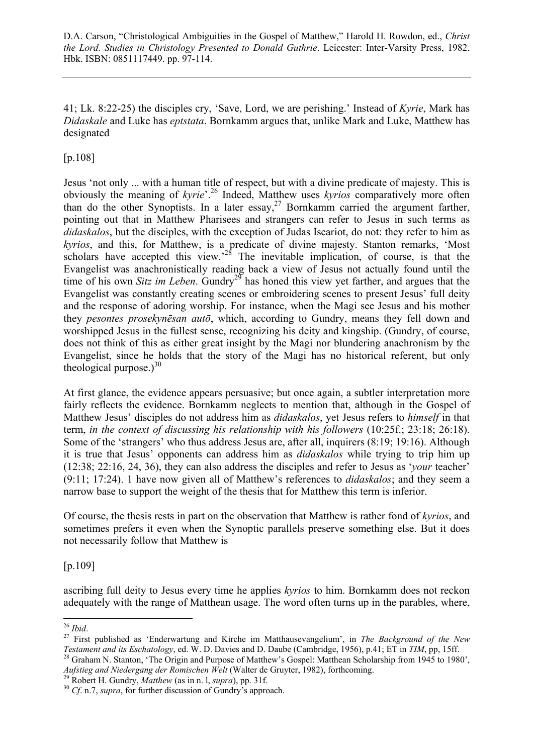41; Lk. 8:22-25) the disciples cry, 'Save, Lord, we are perishing.' Instead of *Kyrie*, Mark has *Didaskale* and Luke has *eptstata*. Bornkamm argues that, unlike Mark and Luke, Matthew has designated

[p.108]

Jesus 'not only ... with a human title of respect, but with a divine predicate of majesty. This is obviously the meaning of *kyrie*'.26 Indeed, Matthew uses *kyrios* comparatively more often than do the other Synoptists. In a later essay,  $27$  Bornkamm carried the argument farther, pointing out that in Matthew Pharisees and strangers can refer to Jesus in such terms as *didaskalos*, but the disciples, with the exception of Judas Iscariot, do not: they refer to him as *kyrios*, and this, for Matthew, is a predicate of divine majesty. Stanton remarks, 'Most scholars have accepted this view.<sup>28</sup> The inevitable implication, of course, is that the Evangelist was anachronistically reading back a view of Jesus not actually found until the time of his own *Sitz im Leben*. Gundry<sup>29</sup> has honed this view yet farther, and argues that the Evangelist was constantly creating scenes or embroidering scenes to present Jesus' full deity and the response of adoring worship. For instance, when the Magi see Jesus and his mother they *pesontes prosekynēsan autō*, which, according to Gundry, means they fell down and worshipped Jesus in the fullest sense, recognizing his deity and kingship. (Gundry, of course, does not think of this as either great insight by the Magi nor blundering anachronism by the Evangelist, since he holds that the story of the Magi has no historical referent, but only theological purpose.) $30<sup>30</sup>$ 

At first glance, the evidence appears persuasive; but once again, a subtler interpretation more fairly reflects the evidence. Bornkamm neglects to mention that, although in the Gospel of Matthew Jesus' disciples do not address him as *didaskalos*, yet Jesus refers to *himself* in that term, *in the context of discussing his relationship with his followers* (10:25f.; 23:18; 26:18). Some of the 'strangers' who thus address Jesus are, after all, inquirers (8:19; 19:16). Although it is true that Jesus' opponents can address him as *didaskalos* while trying to trip him up (12:38; 22:16, 24, 36), they can also address the disciples and refer to Jesus as '*your* teacher' (9:11; 17:24). 1 have now given all of Matthew's references to *didaskalos*; and they seem a narrow base to support the weight of the thesis that for Matthew this term is inferior.

Of course, the thesis rests in part on the observation that Matthew is rather fond of *kyrios*, and sometimes prefers it even when the Synoptic parallels preserve something else. But it does not necessarily follow that Matthew is

[p.109]

ascribing full deity to Jesus every time he applies *kyrios* to him. Bornkamm does not reckon adequately with the range of Matthean usage. The word often turns up in the parables, where,

 $26$  Ibid.

<sup>&</sup>lt;sup>27</sup> First published as 'Enderwartung and Kirche im Matthausevangelium', in *The Background of the New* Testament and its Eschatology, ed. W. D. Davies and D. Daube (Cambridge, 1956), p.41; ET in TIM, pp, 15ff.<br><sup>28</sup> Graham N. Stanton, 'The Origin and Purpose of Matthew's Gospel: Matthean Scholarship from 1945 to 1980',

Aufstieg and Niedergang der Romischen Welt (Walter de Gruyter, 1982), forthcoming.<br><sup>29</sup> Robert H. Gundry, *Matthew* (as in n. l, *supra*), pp. 31f.<br><sup>30</sup> Cf. n.7, *supra*, for further discussion of Gundry's approach.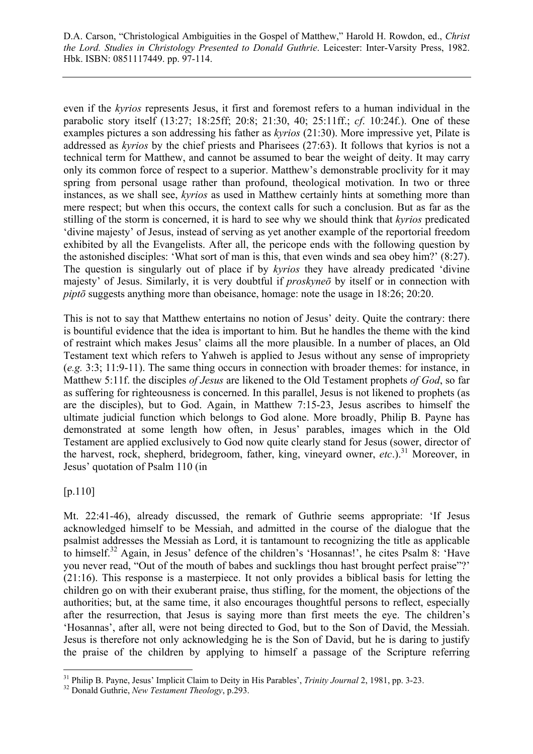even if the *kyrios* represents Jesus, it first and foremost refers to a human individual in the parabolic story itself (13:27; 18:25ff; 20:8; 21:30, 40; 25:11ff.; *cf*. 10:24f.). One of these examples pictures a son addressing his father as *kyrios* (21:30). More impressive yet, Pilate is addressed as *kyrios* by the chief priests and Pharisees (27:63). It follows that kyrios is not a technical term for Matthew, and cannot be assumed to bear the weight of deity. It may carry only its common force of respect to a superior. Matthew's demonstrable proclivity for it may spring from personal usage rather than profound, theological motivation. In two or three instances, as we shall see, *kyrios* as used in Matthew certainly hints at something more than mere respect; but when this occurs, the context calls for such a conclusion. But as far as the stilling of the storm is concerned, it is hard to see why we should think that *kyrios* predicated 'divine majesty' of Jesus, instead of serving as yet another example of the reportorial freedom exhibited by all the Evangelists. After all, the pericope ends with the following question by the astonished disciples: 'What sort of man is this, that even winds and sea obey him?' (8:27). The question is singularly out of place if by *kyrios* they have already predicated 'divine majesty' of Jesus. Similarly, it is very doubtful if *proskyneō* by itself or in connection with *piptō* suggests anything more than obeisance, homage: note the usage in 18:26; 20:20.

This is not to say that Matthew entertains no notion of Jesus' deity. Quite the contrary: there is bountiful evidence that the idea is important to him. But he handles the theme with the kind of restraint which makes Jesus' claims all the more plausible. In a number of places, an Old Testament text which refers to Yahweh is applied to Jesus without any sense of impropriety (*e.g.* 3:3; 11:9-11). The same thing occurs in connection with broader themes: for instance, in Matthew 5:11f. the disciples *of Jesus* are likened to the Old Testament prophets *of God*, so far as suffering for righteousness is concerned. In this parallel, Jesus is not likened to prophets (as are the disciples), but to God. Again, in Matthew 7:15-23, Jesus ascribes to himself the ultimate judicial function which belongs to God alone. More broadly, Philip B. Payne has demonstrated at some length how often, in Jesus' parables, images which in the Old Testament are applied exclusively to God now quite clearly stand for Jesus (sower, director of the harvest, rock, shepherd, bridegroom, father, king, vineyard owner, *etc.*).<sup>31</sup> Moreover, in Jesus' quotation of Psalm 110 (in

[p.110]

 $\overline{a}$ 

Mt. 22:41-46), already discussed, the remark of Guthrie seems appropriate: 'If Jesus acknowledged himself to be Messiah, and admitted in the course of the dialogue that the psalmist addresses the Messiah as Lord, it is tantamount to recognizing the title as applicable to himself.32 Again, in Jesus' defence of the children's 'Hosannas!', he cites Psalm 8: 'Have you never read, "Out of the mouth of babes and sucklings thou hast brought perfect praise"?' (21:16). This response is a masterpiece. It not only provides a biblical basis for letting the children go on with their exuberant praise, thus stifling, for the moment, the objections of the authorities; but, at the same time, it also encourages thoughtful persons to reflect, especially after the resurrection, that Jesus is saying more than first meets the eye. The children's 'Hosannas', after all, were not being directed to God, but to the Son of David, the Messiah. Jesus is therefore not only acknowledging he is the Son of David, but he is daring to justify the praise of the children by applying to himself a passage of the Scripture referring

<sup>31</sup> Philip B. Payne, Jesus' Implicit Claim to Deity in His Parables', *Trinity Journal* 2, 1981, pp. 3-23. 32 Donald Guthrie, *New Testament Theology*, p.293.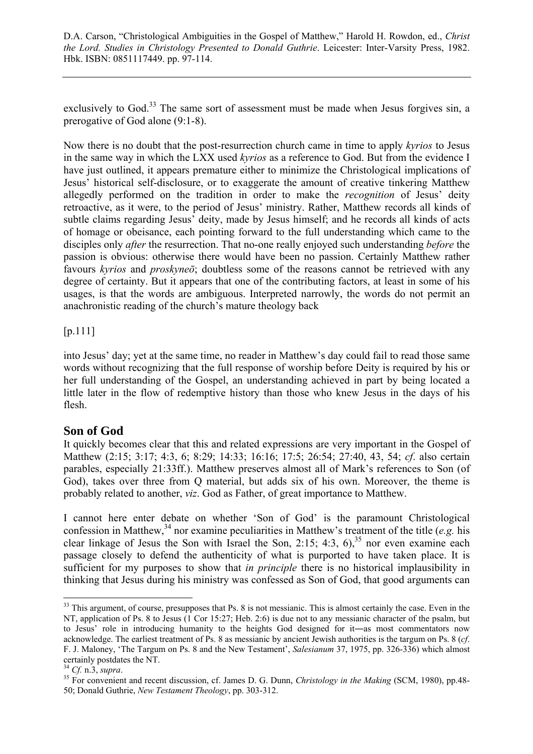exclusively to God.<sup>33</sup> The same sort of assessment must be made when Jesus forgives sin, a prerogative of God alone (9:1-8).

Now there is no doubt that the post-resurrection church came in time to apply *kyrios* to Jesus in the same way in which the LXX used *kyrios* as a reference to God. But from the evidence I have just outlined, it appears premature either to minimize the Christological implications of Jesus' historical self-disclosure, or to exaggerate the amount of creative tinkering Matthew allegedly performed on the tradition in order to make the *recognition* of Jesus' deity retroactive, as it were, to the period of Jesus' ministry. Rather, Matthew records all kinds of subtle claims regarding Jesus' deity, made by Jesus himself; and he records all kinds of acts of homage or obeisance, each pointing forward to the full understanding which came to the disciples only *after* the resurrection. That no-one really enjoyed such understanding *before* the passion is obvious: otherwise there would have been no passion. Certainly Matthew rather favours *kyrios* and *proskyneō*; doubtless some of the reasons cannot be retrieved with any degree of certainty. But it appears that one of the contributing factors, at least in some of his usages, is that the words are ambiguous. Interpreted narrowly, the words do not permit an anachronistic reading of the church's mature theology back

[p.111]

into Jesus' day; yet at the same time, no reader in Matthew's day could fail to read those same words without recognizing that the full response of worship before Deity is required by his or her full understanding of the Gospel, an understanding achieved in part by being located a little later in the flow of redemptive history than those who knew Jesus in the days of his flesh.

# **Son of God**

It quickly becomes clear that this and related expressions are very important in the Gospel of Matthew (2:15; 3:17; 4:3, 6; 8:29; 14:33; 16:16; 17:5; 26:54; 27:40, 43, 54; *cf*. also certain parables, especially 21:33ff.). Matthew preserves almost all of Mark's references to Son (of God), takes over three from Q material, but adds six of his own. Moreover, the theme is probably related to another, *viz*. God as Father, of great importance to Matthew.

I cannot here enter debate on whether 'Son of God' is the paramount Christological confession in Matthew,34 nor examine peculiarities in Matthew's treatment of the title (*e.g.* his clear linkage of Jesus the Son with Israel the Son, 2:15; 4:3, 6),<sup>35</sup> nor even examine each passage closely to defend the authenticity of what is purported to have taken place. It is sufficient for my purposes to show that *in principle* there is no historical implausibility in thinking that Jesus during his ministry was confessed as Son of God, that good arguments can

 $\overline{a}$ 

<sup>&</sup>lt;sup>33</sup> This argument, of course, presupposes that Ps. 8 is not messianic. This is almost certainly the case. Even in the NT, application of Ps. 8 to Jesus (1 Cor 15:27; Heb. 2:6) is due not to any messianic character of the psalm, but to Jesus' role in introducing humanity to the heights God designed for it―as most commentators now acknowledge. The earliest treatment of Ps. 8 as messianic by ancient Jewish authorities is the targum on Ps. 8 (*cf*. F. J. Maloney, 'The Targum on Ps. 8 and the New Testament', *Salesianum* 37, 1975, pp. 326-336) which almost certainly postdates the NT.<br> $^{34}$  Cf. n.3, supra.

<sup>&</sup>lt;sup>35</sup> For convenient and recent discussion, cf. James D. G. Dunn, *Christology in the Making* (SCM, 1980), pp.48-50; Donald Guthrie, *New Testament Theology*, pp. 303-312.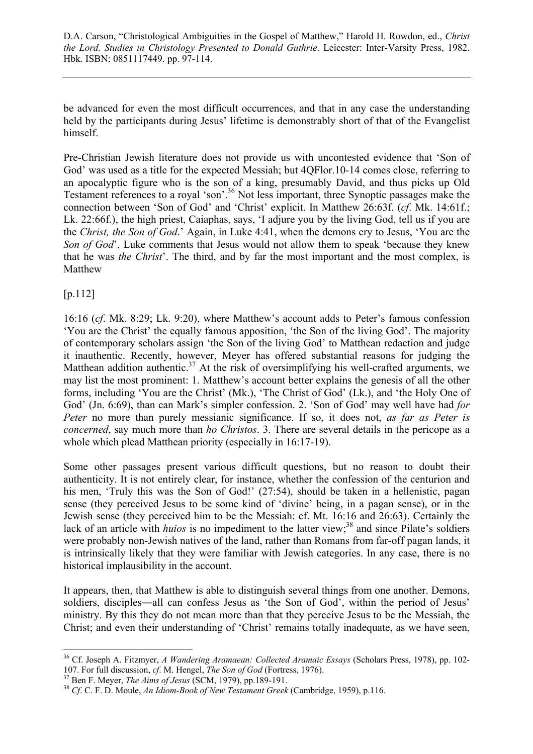be advanced for even the most difficult occurrences, and that in any case the understanding held by the participants during Jesus' lifetime is demonstrably short of that of the Evangelist himself.

Pre-Christian Jewish literature does not provide us with uncontested evidence that 'Son of God' was used as a title for the expected Messiah; but 4QFlor.10-14 comes close, referring to an apocalyptic figure who is the son of a king, presumably David, and thus picks up Old Testament references to a royal 'son'.36 Not less important, three Synoptic passages make the connection between 'Son of God' and 'Christ' explicit. In Matthew 26:63f. (*cf*. Mk. 14:61f.; Lk. 22:66f.), the high priest, Caiaphas, says, 'I adjure you by the living God, tell us if you are the *Christ, the Son of God*.' Again, in Luke 4:41, when the demons cry to Jesus, 'You are the *Son of God*', Luke comments that Jesus would not allow them to speak 'because they knew that he was *the Christ*'. The third, and by far the most important and the most complex, is Matthew

[p.112]

 $\overline{a}$ 

16:16 (*cf*. Mk. 8:29; Lk. 9:20), where Matthew's account adds to Peter's famous confession 'You are the Christ' the equally famous apposition, 'the Son of the living God'. The majority of contemporary scholars assign 'the Son of the living God' to Matthean redaction and judge it inauthentic. Recently, however, Meyer has offered substantial reasons for judging the Matthean addition authentic.<sup>37</sup> At the risk of oversimplifying his well-crafted arguments, we may list the most prominent: 1. Matthew's account better explains the genesis of all the other forms, including 'You are the Christ' (Mk.), 'The Christ of God' (Lk.), and 'the Holy One of God' (Jn. 6:69), than can Mark's simpler confession. 2. 'Son of God' may well have had *for Peter* no more than purely messianic significance. If so, it does not, *as far as Peter is concerned*, say much more than *ho Christos*. 3. There are several details in the pericope as a whole which plead Matthean priority (especially in 16:17-19).

Some other passages present various difficult questions, but no reason to doubt their authenticity. It is not entirely clear, for instance, whether the confession of the centurion and his men, 'Truly this was the Son of God!' (27:54), should be taken in a hellenistic, pagan sense (they perceived Jesus to be some kind of 'divine' being, in a pagan sense), or in the Jewish sense (they perceived him to be the Messiah: cf. Mt. 16:16 and 26:63). Certainly the lack of an article with *huios* is no impediment to the latter view;<sup>38</sup> and since Pilate's soldiers were probably non-Jewish natives of the land, rather than Romans from far-off pagan lands, it is intrinsically likely that they were familiar with Jewish categories. In any case, there is no historical implausibility in the account.

It appears, then, that Matthew is able to distinguish several things from one another. Demons, soldiers, disciples―all can confess Jesus as 'the Son of God', within the period of Jesus' ministry. By this they do not mean more than that they perceive Jesus to be the Messiah, the Christ; and even their understanding of 'Christ' remains totally inadequate, as we have seen,

<sup>36</sup> Cf. Joseph A. Fitzmyer, *A Wandering Aramaean: Collected Aramaic Essays* (Scholars Press, 1978), pp. 102- 107. For full discussion, *cf. M. Hengel, The Son of God (Fortress, 1976)*.<br><sup>37</sup> Ben F. Meyer, *The Aims of Jesus (SCM, 1979), pp.189-191.*<br><sup>38</sup> Cf. C. F. D. Moule, *An Idiom-Book of New Testament Greek (Cambridge, 1959),*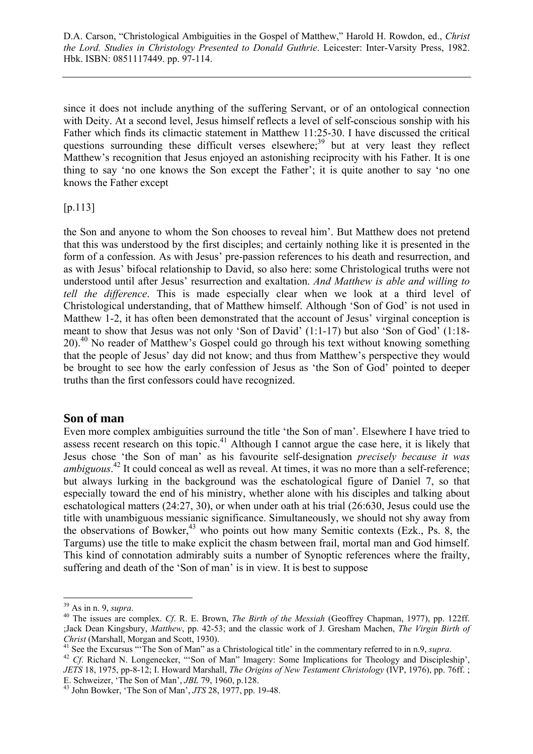since it does not include anything of the suffering Servant, or of an ontological connection with Deity. At a second level, Jesus himself reflects a level of self-conscious sonship with his Father which finds its climactic statement in Matthew 11:25-30. I have discussed the critical questions surrounding these difficult verses elsewhere; $39$  but at very least they reflect Matthew's recognition that Jesus enjoyed an astonishing reciprocity with his Father. It is one thing to say 'no one knows the Son except the Father'; it is quite another to say 'no one knows the Father except

[p.113]

the Son and anyone to whom the Son chooses to reveal him'. But Matthew does not pretend that this was understood by the first disciples; and certainly nothing like it is presented in the form of a confession. As with Jesus' pre-passion references to his death and resurrection, and as with Jesus' bifocal relationship to David, so also here: some Christological truths were not understood until after Jesus' resurrection and exaltation. *And Matthew is able and willing to tell the difference*. This is made especially clear when we look at a third level of Christological understanding, that of Matthew himself. Although 'Son of God' is not used in Matthew 1-2, it has often been demonstrated that the account of Jesus' virginal conception is meant to show that Jesus was not only 'Son of David' (1:1-17) but also 'Son of God' (1:18- 20).<sup>40</sup> No reader of Matthew's Gospel could go through his text without knowing something that the people of Jesus' day did not know; and thus from Matthew's perspective they would be brought to see how the early confession of Jesus as 'the Son of God' pointed to deeper truths than the first confessors could have recognized.

#### **Son of man**

Even more complex ambiguities surround the title 'the Son of man'. Elsewhere I have tried to assess recent research on this topic.<sup>41</sup> Although I cannot argue the case here, it is likely that Jesus chose 'the Son of man' as his favourite self-designation *precisely because it was* ambiguous.<sup>42</sup> It could conceal as well as reveal. At times, it was no more than a self-reference; but always lurking in the background was the eschatological figure of Daniel 7, so that especially toward the end of his ministry, whether alone with his disciples and talking about eschatological matters (24:27, 30), or when under oath at his trial (26:630, Jesus could use the title with unambiguous messianic significance. Simultaneously, we should not shy away from the observations of Bowker,<sup>43</sup> who points out how many Semitic contexts (Ezk., Ps. 8, the Targums) use the title to make explicit the chasm between frail, mortal man and God himself. This kind of connotation admirably suits a number of Synoptic references where the frailty, suffering and death of the 'Son of man' is in view. It is best to suppose

 $\overline{a}$ 

<sup>&</sup>lt;sup>39</sup> As in n. 9, *supra*.<br><sup>40</sup> The issues are complex. *Cf.* R. E. Brown, *The Birth of the Messiah* (Geoffrey Chapman, 1977), pp. 122ff. ;Jack Dean Kingsbury, *Matthew*, pp. 42-53; and the classic work of J. Gresham Machen, *The Virgin Birth of Christ* (Marshall, Morgan and Scott, 1930).<br><sup>41</sup> See the Excursus "The Son of Man" as a Christological title' in the commentary referred to in n.9, *supra*.<br><sup>42</sup> Cf. Richard N. Longenecker, "'Son of Man" Imagery: Some Imp

*JETS* 18, 1975, pp-8-12; I. Howard Marshall, *The Origins of New Testament Christology* (IVP, 1976), pp. 76ff. ;

E. Schweizer, 'The Son of Man', *JBL* 79, 1960, p.128. 43 John Bowker, 'The Son of Man', *JTS* 28, 1977, pp. 19-48.